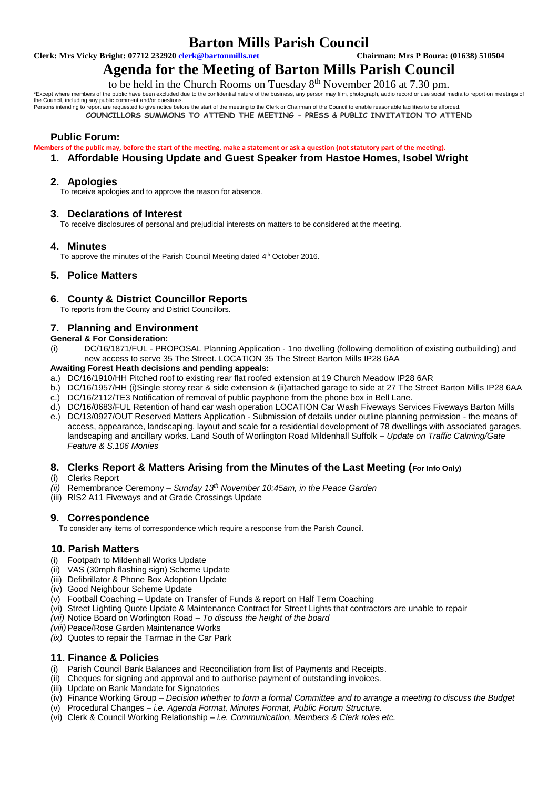# **Barton Mills Parish Council**<br> **Chairman: Mrs P Boura: (01638) 510504**<br>
Chairman: Mrs P Boura: (01638) 510504

**Clerk: Mrs Vicky Bright: 07712 232920 <b>clerk@bartonmills.net** 

# **Agenda for the Meeting of Barton Mills Parish Council**

to be held in the Church Rooms on Tuesday  $8<sup>th</sup>$  November 2016 at 7.30 pm.

\*Except where members of the public have been excluded due to the confidential nature of the business, any person may film, photograph, audio record or use social media to report on meetings of

the Council, including any public comment and/or questions.<br>Persons intending to report are requested to give notice before the start of the meeting to the Clerk or Chairman of the Council to enable reasonable facilities t

**COUNCILLORS SUMMONS TO ATTEND THE MEETING - PRESS & PUBLIC INVITATION TO ATTEND**

# **Public Forum:**

**Members of the public may, before the start of the meeting, make a statement or ask a question (not statutory part of the meeting).**

**1. Affordable Housing Update and Guest Speaker from Hastoe Homes, Isobel Wright**

# **2. Apologies**

To receive apologies and to approve the reason for absence.

#### **3. Declarations of Interest**

To receive disclosures of personal and prejudicial interests on matters to be considered at the meeting.

# **4. Minutes**

To approve the minutes of the Parish Council Meeting dated 4<sup>th</sup> October 2016.

# **5. Police Matters**

# **6. County & District Councillor Reports**

To reports from the County and District Councillors.

# **7. Planning and Environment**

#### **General & For Consideration:**

(i) DC/16/1871/FUL - PROPOSAL Planning Application - 1no dwelling (following demolition of existing outbuilding) and new access to serve 35 The Street. LOCATION 35 The Street Barton Mills IP28 6AA

#### **Awaiting Forest Heath decisions and pending appeals:**

- a.) DC/16/1910/HH Pitched roof to existing rear flat roofed extension at 19 Church Meadow IP28 6AR
- b.) DC/16/1957/HH (i)Single storey rear & side extension & (ii)attached garage to side at 27 The Street Barton Mills IP28 6AA c.) DC/16/2112/TE3 Notification of removal of public payphone from the phone box in Bell Lane.
- 
- d.) DC/16/0683/FUL Retention of hand car wash operation LOCATION Car Wash Fiveways Services Fiveways Barton Mills e.) DC/13/0927/OUT Reserved Matters Application - Submission of details under outline planning permission - the means of
- access, appearance, landscaping, layout and scale for a residential development of 78 dwellings with associated garages, landscaping and ancillary works. Land South of Worlington Road Mildenhall Suffolk – *Update on Traffic Calming/Gate Feature & S.106 Monies*

# **8. Clerks Report & Matters Arising from the Minutes of the Last Meeting (For Info Only)**

#### (i) Clerks Report

- *(ii)* Remembrance Ceremony *– Sunday 13th November 10:45am, in the Peace Garden*
- (iii) RIS2 A11 Fiveways and at Grade Crossings Update

# **9. Correspondence**

To consider any items of correspondence which require a response from the Parish Council.

#### **10. Parish Matters**

- (i) Footpath to Mildenhall Works Update
- (ii) VAS (30mph flashing sign) Scheme Update
- (iii) Defibrillator & Phone Box Adoption Update
- (iv) Good Neighbour Scheme Update
- (v) Football Coaching Update on Transfer of Funds & report on Half Term Coaching
- (vi) Street Lighting Quote Update & Maintenance Contract for Street Lights that contractors are unable to repair
- *(vii)* Notice Board on Worlington Road *To discuss the height of the board*
- *(viii)*Peace/Rose Garden Maintenance Works
- *(ix)* Quotes to repair the Tarmac in the Car Park

#### **11. Finance & Policies**

- (i) Parish Council Bank Balances and Reconciliation from list of Payments and Receipts.
- (ii) Cheques for signing and approval and to authorise payment of outstanding invoices.
- (iii) Update on Bank Mandate for Signatories
- (iv) Finance Working Group *Decision whether to form a formal Committee and to arrange a meeting to discuss the Budget*
- (v) Procedural Changes *i.e. Agenda Format, Minutes Format, Public Forum Structure.*
- (vi) Clerk & Council Working Relationship *i.e. Communication, Members & Clerk roles etc.*